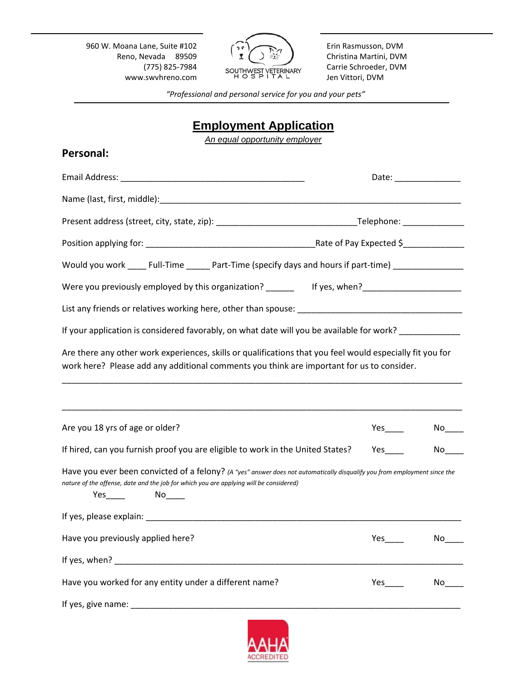960 W. Moana Lane, Suite #102 Reno, Nevada 89509 (775) 825-7984 www.swvhreno.com



Erin Rasmusson, DVM Christina Martini, DVM Carrie Schroeder, DVM Jen Vittori, DVM

*"Professional and personal service for you and your pets"*

# **Employment Application**

*An equal opportunity employer*

| <b>Personal:</b>                                                                                                                                                                                                                     |                       |      |
|--------------------------------------------------------------------------------------------------------------------------------------------------------------------------------------------------------------------------------------|-----------------------|------|
|                                                                                                                                                                                                                                      | Date: _______________ |      |
|                                                                                                                                                                                                                                      |                       |      |
|                                                                                                                                                                                                                                      |                       |      |
|                                                                                                                                                                                                                                      |                       |      |
| Would you work ______ Full-Time ________ Part-Time (specify days and hours if part-time) _________________                                                                                                                           |                       |      |
| Were you previously employed by this organization? ________ If yes, when? _________________________                                                                                                                                  |                       |      |
|                                                                                                                                                                                                                                      |                       |      |
| If your application is considered favorably, on what date will you be available for work?                                                                                                                                            |                       |      |
| Are there any other work experiences, skills or qualifications that you feel would especially fit you for<br>work here? Please add any additional comments you think are important for us to consider.                               |                       |      |
| Are you 18 yrs of age or older?                                                                                                                                                                                                      | $Yes$ <sub>____</sub> |      |
| If hired, can you furnish proof you are eligible to work in the United States?                                                                                                                                                       | Yes                   | No l |
| Have you ever been convicted of a felony? (A "yes" answer does not automatically disqualify you from employment since the<br>nature of the offense, date and the job for which you are applying will be considered)<br>$Yes$ No $No$ |                       |      |
|                                                                                                                                                                                                                                      |                       |      |
| Have you previously applied here?                                                                                                                                                                                                    |                       |      |
|                                                                                                                                                                                                                                      |                       |      |
| Have you worked for any entity under a different name?                                                                                                                                                                               |                       |      |
|                                                                                                                                                                                                                                      |                       |      |
|                                                                                                                                                                                                                                      |                       |      |

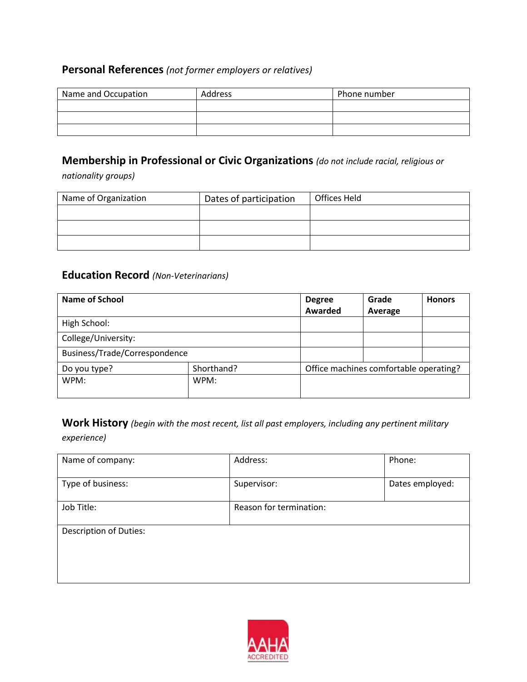## **Personal References** *(not former employers or relatives)*

| Name and Occupation | Address | Phone number |
|---------------------|---------|--------------|
|                     |         |              |
|                     |         |              |
|                     |         |              |

## **Membership in Professional or Civic Organizations** *(do not include racial, religious or*

*nationality groups)*

| Name of Organization | Dates of participation | Offices Held |
|----------------------|------------------------|--------------|
|                      |                        |              |
|                      |                        |              |
|                      |                        |              |

### **Education Record** *(Non-Veterinarians)*

| <b>Name of School</b>         |      | <b>Degree</b><br>Awarded               | Grade<br>Average | <b>Honors</b> |
|-------------------------------|------|----------------------------------------|------------------|---------------|
| High School:                  |      |                                        |                  |               |
| College/University:           |      |                                        |                  |               |
| Business/Trade/Correspondence |      |                                        |                  |               |
| Shorthand?<br>Do you type?    |      | Office machines comfortable operating? |                  |               |
| WPM:                          | WPM: |                                        |                  |               |

**Work History** *(begin with the most recent, list all past employers, including any pertinent military experience)*

| Address:                | Phone:          |
|-------------------------|-----------------|
| Supervisor:             | Dates employed: |
| Reason for termination: |                 |
|                         |                 |
|                         |                 |
|                         |                 |

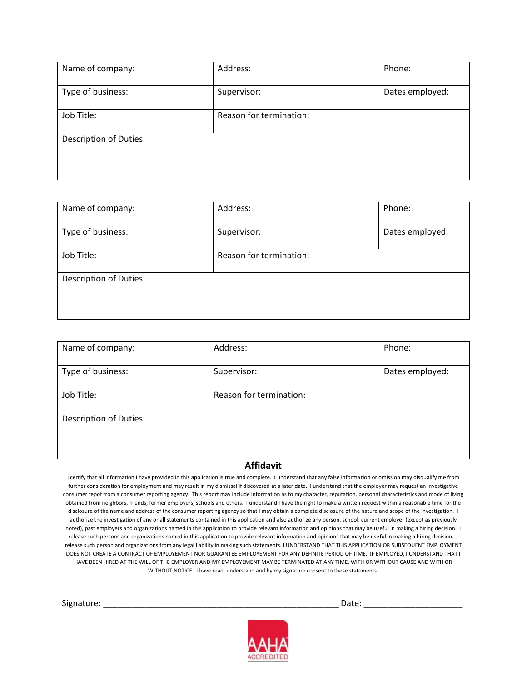| Name of company:              | Address:                | Phone:          |
|-------------------------------|-------------------------|-----------------|
| Type of business:             | Supervisor:             | Dates employed: |
| Job Title:                    | Reason for termination: |                 |
| <b>Description of Duties:</b> |                         |                 |
|                               |                         |                 |

| Name of company:              | Address:                | Phone:          |
|-------------------------------|-------------------------|-----------------|
| Type of business:             | Supervisor:             | Dates employed: |
| Job Title:                    | Reason for termination: |                 |
| <b>Description of Duties:</b> |                         |                 |
|                               |                         |                 |

| Name of company:              | Address:                | Phone:          |
|-------------------------------|-------------------------|-----------------|
| Type of business:             | Supervisor:             | Dates employed: |
| Job Title:                    | Reason for termination: |                 |
| <b>Description of Duties:</b> |                         |                 |
|                               |                         |                 |

#### **Affidavit**

I certify that all information I have provided in this application is true and complete. I understand that any false information or omission may disqualify me from further consideration for employment and may result in my dismissal if discovered at a later date. I understand that the employer may request an investigative consumer repot from a consumer reporting agency. This report may include information as to my character, reputation, personal characteristics and mode of living obtained from neighbors, friends, former employers, schools and others. I understand I have the right to make a written request within a reasonable time for the disclosure of the name and address of the consumer reporting agency so that I may obtain a complete disclosure of the nature and scope of the investigation. I authorize the investigation of any or all statements contained in this application and also authorize any person, school, current employer (except as previously noted), past employers and organizations named in this application to provide relevant information and opinions that may be useful in making a hiring decision. I release such persons and organizations named in this application to provide relevant information and opinions that may be useful in making a hiring decision. I release such person and organizations from any legal liability in making such statements. I UNDERSTAND THAT THIS APPLICATION OR SUBSEQUENT EMPLOYMENT DOES NOT CREATE A CONTRACT OF EMPLOYEMENT NOR GUARANTEE EMPLOYEMENT FOR ANY DEFINITE PERIOD OF TIME. IF EMPLOYED, I UNDERSTAND THAT I HAVE BEEN HIRED AT THE WILL OF THE EMPLOYER AND MY EMPLOYEMENT MAY BE TERMINATED AT ANY TIME, WITH OR WITHOUT CAUSE AND WITH OR WITHOUT NOTICE. I have read, understand and by my signature consent to these statements.